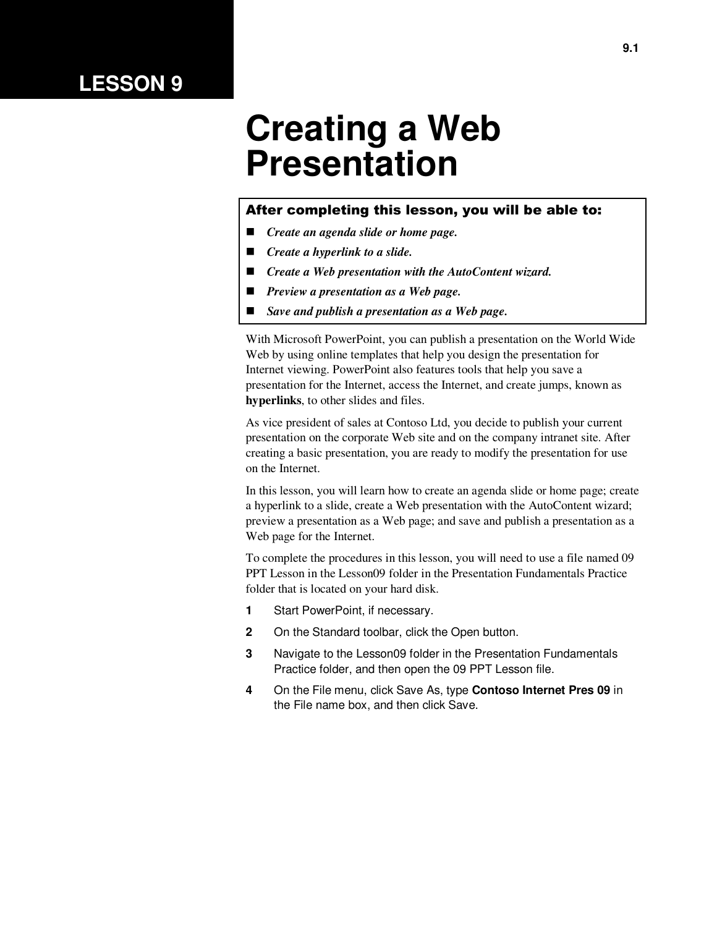### **LESSON 9**

# **Creating a Web Presentation**

#### After completing this lesson, you will be able to:

- *Create an agenda slide or home page.*
- *Create a hyperlink to a slide.*
- *Create a Web presentation with the AutoContent wizard.*
- *Preview a presentation as a Web page.*
- *Save and publish a presentation as a Web page.*

With Microsoft PowerPoint, you can publish a presentation on the World Wide Web by using online templates that help you design the presentation for Internet viewing. PowerPoint also features tools that help you save a presentation for the Internet, access the Internet, and create jumps, known as **hyperlinks**, to other slides and files.

As vice president of sales at Contoso Ltd, you decide to publish your current presentation on the corporate Web site and on the company intranet site. After creating a basic presentation, you are ready to modify the presentation for use on the Internet.

In this lesson, you will learn how to create an agenda slide or home page; create a hyperlink to a slide, create a Web presentation with the AutoContent wizard; preview a presentation as a Web page; and save and publish a presentation as a Web page for the Internet.

To complete the procedures in this lesson, you will need to use a file named 09 PPT Lesson in the Lesson09 folder in the Presentation Fundamentals Practice folder that is located on your hard disk.

- **1** Start PowerPoint, if necessary.
- **2** On the Standard toolbar, click the Open button.
- **3** Navigate to the Lesson09 folder in the Presentation Fundamentals Practice folder, and then open the 09 PPT Lesson file.
- **4** On the File menu, click Save As, type **Contoso Internet Pres 09** in the File name box, and then click Save.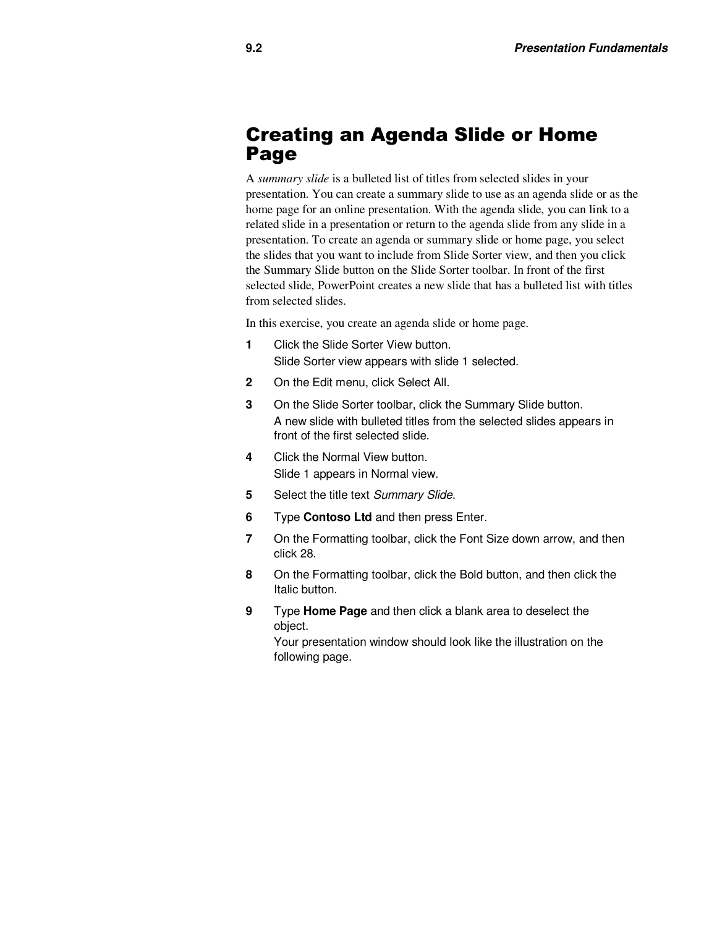#### Creating an Agenda Slide or Home Page

A *summary slide* is a bulleted list of titles from selected slides in your presentation. You can create a summary slide to use as an agenda slide or as the home page for an online presentation. With the agenda slide, you can link to a related slide in a presentation or return to the agenda slide from any slide in a presentation. To create an agenda or summary slide or home page, you select the slides that you want to include from Slide Sorter view, and then you click the Summary Slide button on the Slide Sorter toolbar. In front of the first selected slide, PowerPoint creates a new slide that has a bulleted list with titles from selected slides.

In this exercise, you create an agenda slide or home page.

- **1** Click the Slide Sorter View button. Slide Sorter view appears with slide 1 selected.
- **2** On the Edit menu, click Select All.
- **3** On the Slide Sorter toolbar, click the Summary Slide button. A new slide with bulleted titles from the selected slides appears in front of the first selected slide.
- **4** Click the Normal View button. Slide 1 appears in Normal view.
- **5** Select the title text Summary Slide.
- **6** Type **Contoso Ltd** and then press Enter.
- **7** On the Formatting toolbar, click the Font Size down arrow, and then click 28.
- **8** On the Formatting toolbar, click the Bold button, and then click the Italic button.
- **9** Type **Home Page** and then click a blank area to deselect the object.

Your presentation window should look like the illustration on the following page.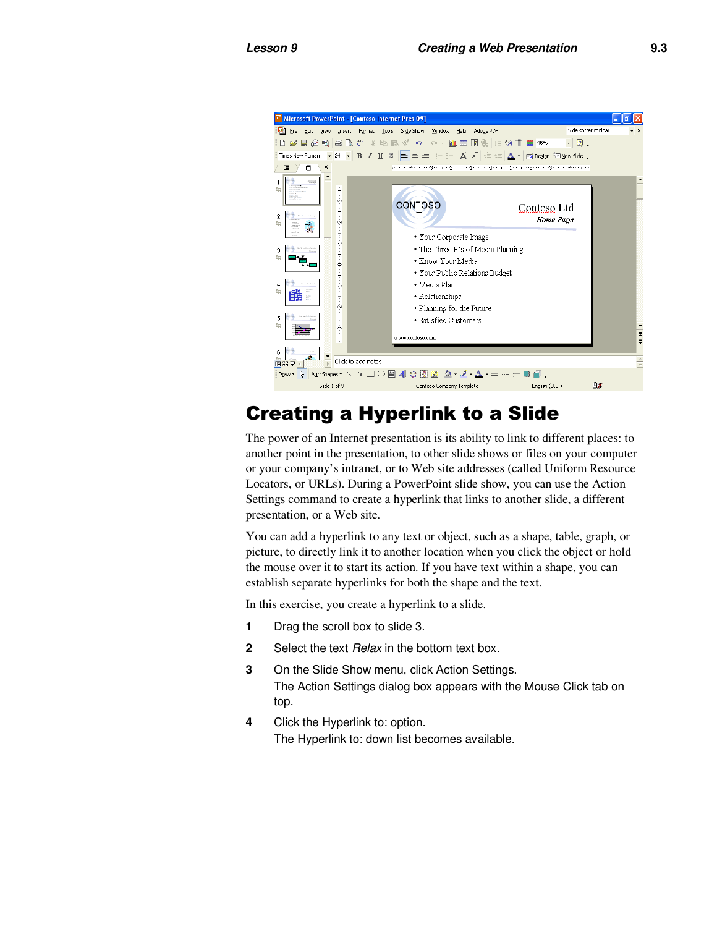

### Creating a Hyperlink to a Slide

The power of an Internet presentation is its ability to link to different places: to another point in the presentation, to other slide shows or files on your computer or your company's intranet, or to Web site addresses (called Uniform Resource Locators, or URLs). During a PowerPoint slide show, you can use the Action Settings command to create a hyperlink that links to another slide, a different presentation, or a Web site.

You can add a hyperlink to any text or object, such as a shape, table, graph, or picture, to directly link it to another location when you click the object or hold the mouse over it to start its action. If you have text within a shape, you can establish separate hyperlinks for both the shape and the text.

In this exercise, you create a hyperlink to a slide.

- **1** Drag the scroll box to slide 3.
- **2** Select the text *Relax* in the bottom text box.
- **3** On the Slide Show menu, click Action Settings. The Action Settings dialog box appears with the Mouse Click tab on top.
- **4** Click the Hyperlink to: option. The Hyperlink to: down list becomes available.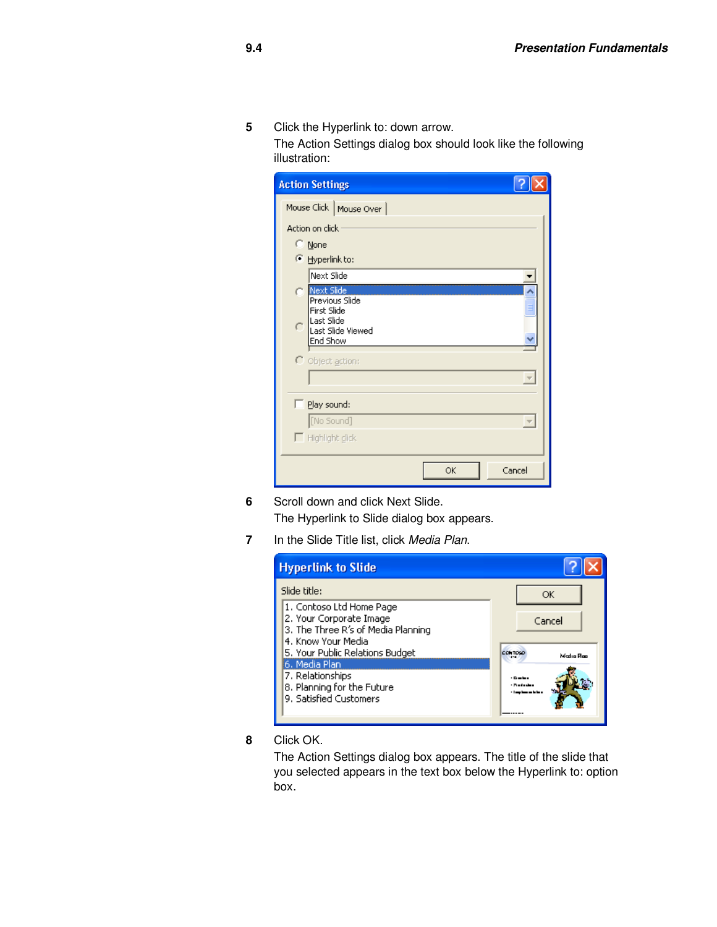**5** Click the Hyperlink to: down arrow.

The Action Settings dialog box should look like the following illustration:

| <b>Action Settings</b>                                                                                                   |  |
|--------------------------------------------------------------------------------------------------------------------------|--|
| Mouse Click   Mouse Over                                                                                                 |  |
| Action on click                                                                                                          |  |
| © None                                                                                                                   |  |
| <b>E</b> Hyperlink to:                                                                                                   |  |
| Next Slide                                                                                                               |  |
| Next Slide<br>O<br>Previous Slide<br>First Slide<br>Last Slide<br>C<br>Last Slide Viewed<br>End Show<br>O Object action: |  |
| Play sound:                                                                                                              |  |
| [No Sound]                                                                                                               |  |
| Highlight click                                                                                                          |  |
| Cancel<br>OK                                                                                                             |  |

- **6** Scroll down and click Next Slide. The Hyperlink to Slide dialog box appears.
- **7** In the Slide Title list, click Media Plan.

| <b>Hyperlink to Slide</b>                                                                                                                                                                                                                       |                     |
|-------------------------------------------------------------------------------------------------------------------------------------------------------------------------------------------------------------------------------------------------|---------------------|
| Slide title:                                                                                                                                                                                                                                    | ОК                  |
| 1. Contoso Ltd Home Page<br>2. Your Corporate Image<br>3. The Three R's of Media Planning<br>4. Know Your Media<br>5. Your Public Relations Budget<br>6. Media Plan<br>7. Relationships<br>8. Planning for the Future<br>9. Satisfied Customers | Cancel<br>Media Rap |

**8** Click OK.

The Action Settings dialog box appears. The title of the slide that you selected appears in the text box below the Hyperlink to: option box.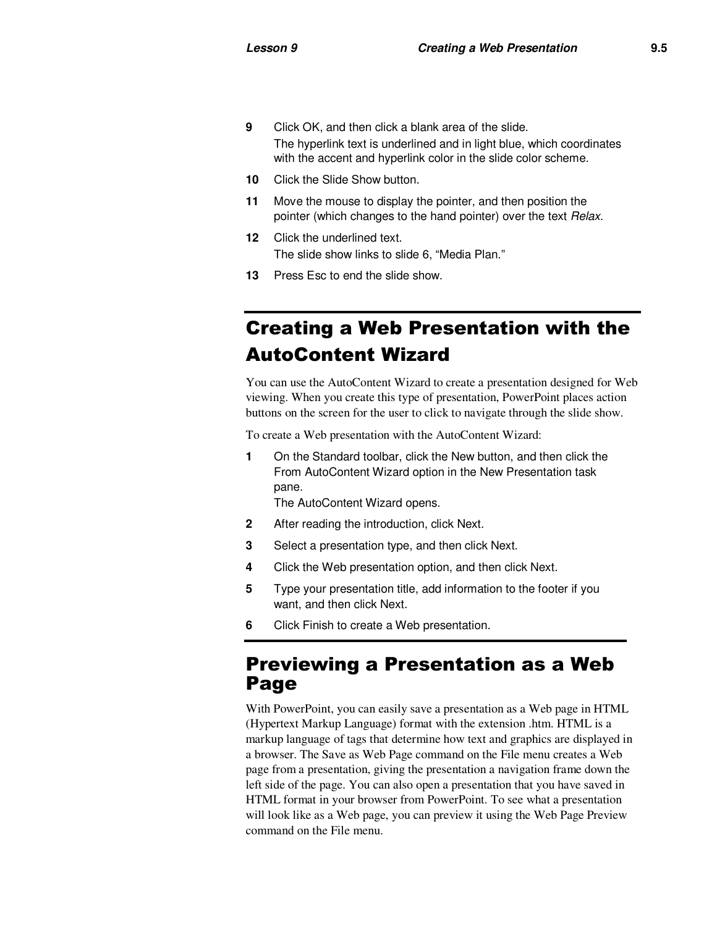- **9** Click OK, and then click a blank area of the slide. The hyperlink text is underlined and in light blue, which coordinates with the accent and hyperlink color in the slide color scheme.
- **10** Click the Slide Show button.
- **11** Move the mouse to display the pointer, and then position the pointer (which changes to the hand pointer) over the text Relax.
- **12** Click the underlined text. The slide show links to slide 6, "Media Plan."
- **13** Press Esc to end the slide show.

### Creating a Web Presentation with the AutoContent Wizard

You can use the AutoContent Wizard to create a presentation designed for Web viewing. When you create this type of presentation, PowerPoint places action buttons on the screen for the user to click to navigate through the slide show.

To create a Web presentation with the AutoContent Wizard:

**1** On the Standard toolbar, click the New button, and then click the From AutoContent Wizard option in the New Presentation task pane.

The AutoContent Wizard opens.

- **2** After reading the introduction, click Next.
- **3** Select a presentation type, and then click Next.
- **4** Click the Web presentation option, and then click Next.
- **5** Type your presentation title, add information to the footer if you want, and then click Next.
- **6** Click Finish to create a Web presentation.

#### Previewing a Presentation as a Web Page

With PowerPoint, you can easily save a presentation as a Web page in HTML (Hypertext Markup Language) format with the extension .htm. HTML is a markup language of tags that determine how text and graphics are displayed in a browser. The Save as Web Page command on the File menu creates a Web page from a presentation, giving the presentation a navigation frame down the left side of the page. You can also open a presentation that you have saved in HTML format in your browser from PowerPoint. To see what a presentation will look like as a Web page, you can preview it using the Web Page Preview command on the File menu.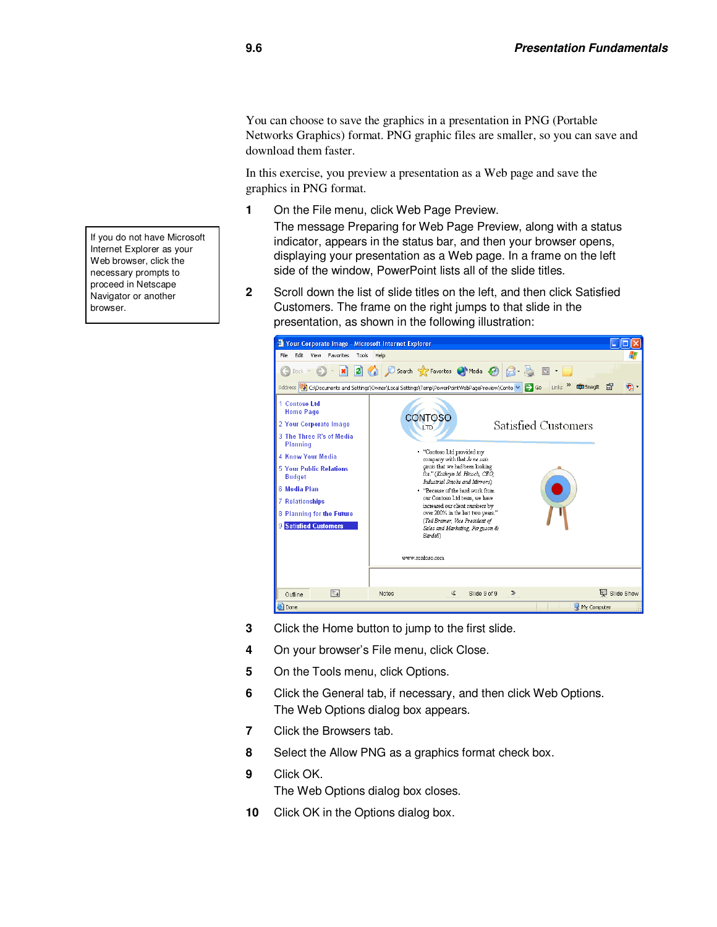You can choose to save the graphics in a presentation in PNG (Portable Networks Graphics) format. PNG graphic files are smaller, so you can save and download them faster.

In this exercise, you preview a presentation as a Web page and save the graphics in PNG format.

**1** On the File menu, click Web Page Preview.

The message Preparing for Web Page Preview, along with a status indicator, appears in the status bar, and then your browser opens, displaying your presentation as a Web page. In a frame on the left side of the window, PowerPoint lists all of the slide titles.

**2** Scroll down the list of slide titles on the left, and then click Satisfied Customers. The frame on the right jumps to that slide in the presentation, as shown in the following illustration:



- **3** Click the Home button to jump to the first slide.
- **4** On your browser's File menu, click Close.
- **5** On the Tools menu, click Options.
- **6** Click the General tab, if necessary, and then click Web Options. The Web Options dialog box appears.
- **7** Click the Browsers tab.
- **8** Select the Allow PNG as a graphics format check box.
- **9** Click OK. The Web Options dialog box closes.
- **10** Click OK in the Options dialog box.

If you do not have Microsoft Internet Explorer as your Web browser, click the necessary prompts to proceed in Netscape Navigator or another browser.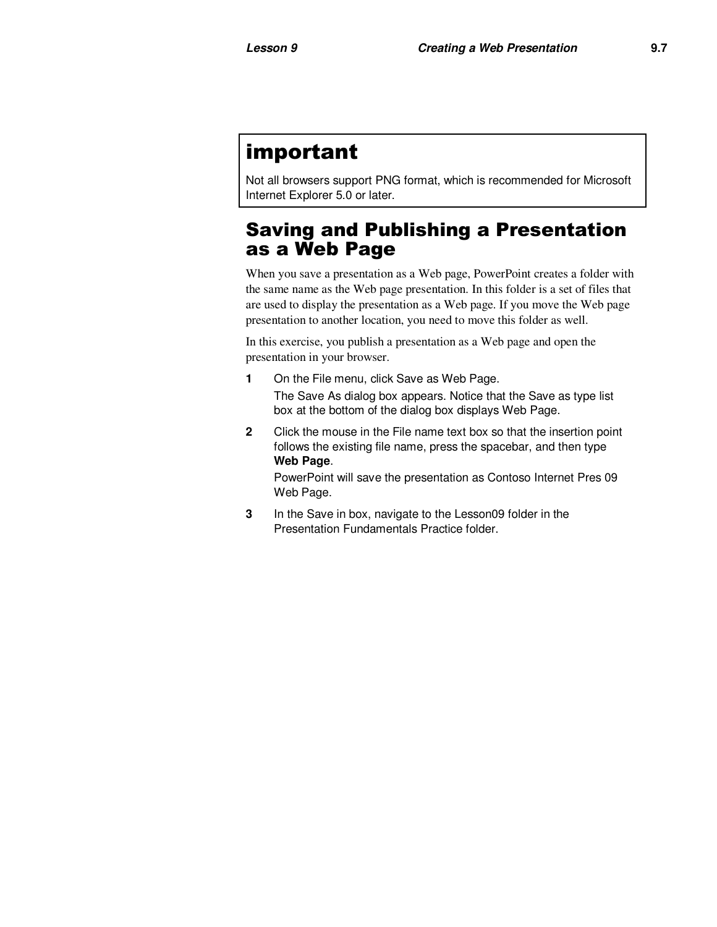## important

Not all browsers support PNG format, which is recommended for Microsoft Internet Explorer 5.0 or later.

#### Saving and Publishing a Presentation as a Web Page

When you save a presentation as a Web page, PowerPoint creates a folder with the same name as the Web page presentation. In this folder is a set of files that are used to display the presentation as a Web page. If you move the Web page presentation to another location, you need to move this folder as well.

In this exercise, you publish a presentation as a Web page and open the presentation in your browser.

**1** On the File menu, click Save as Web Page.

The Save As dialog box appears. Notice that the Save as type list box at the bottom of the dialog box displays Web Page.

**2** Click the mouse in the File name text box so that the insertion point follows the existing file name, press the spacebar, and then type **Web Page**.

PowerPoint will save the presentation as Contoso Internet Pres 09 Web Page.

**3** In the Save in box, navigate to the Lesson09 folder in the Presentation Fundamentals Practice folder.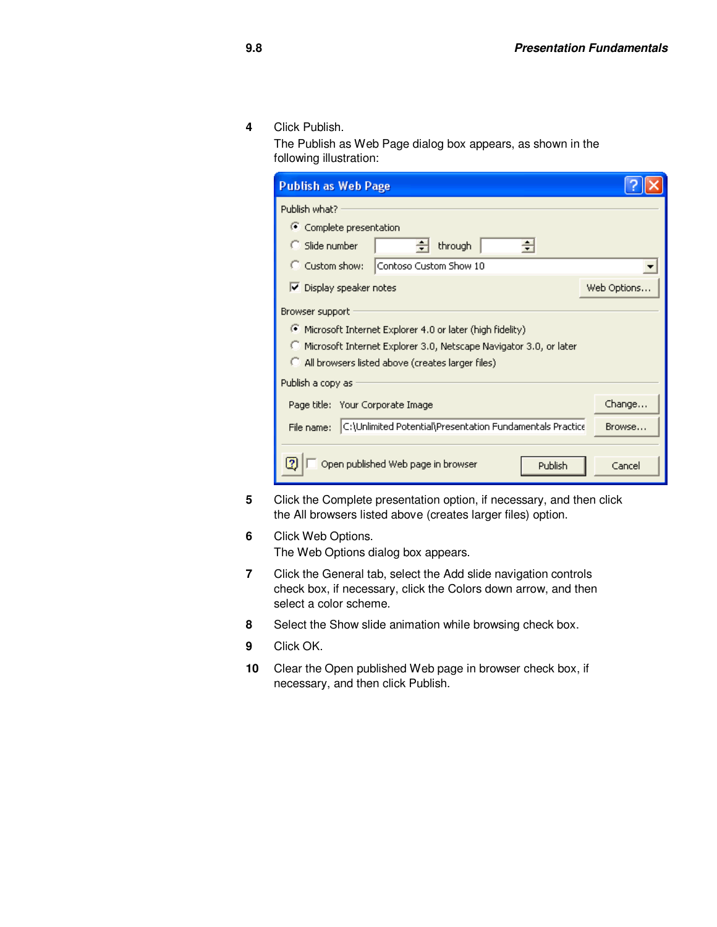**4** Click Publish.

The Publish as Web Page dialog box appears, as shown in the following illustration:

| <b>Publish as Web Page</b>                                              |                   |  |  |  |
|-------------------------------------------------------------------------|-------------------|--|--|--|
| Publish what?                                                           |                   |  |  |  |
| Complete presentation                                                   |                   |  |  |  |
| Slide number<br>through                                                 |                   |  |  |  |
| C Custom show:<br>Contoso Custom Show 10                                |                   |  |  |  |
| $\triangleright$ Display speaker notes                                  | Web Options       |  |  |  |
| Browser support                                                         |                   |  |  |  |
| Microsoft Internet Explorer 4.0 or later (high fidelity)                |                   |  |  |  |
| O.<br>Microsoft Internet Explorer 3.0, Netscape Navigator 3.0, or later |                   |  |  |  |
| All browsers listed above (creates larger files)                        |                   |  |  |  |
| Publish a copy as                                                       |                   |  |  |  |
| Page title: Your Corporate Image                                        | Change            |  |  |  |
| C:\Unlimited Potential\Presentation Fundamentals Practice<br>File name: | Browse            |  |  |  |
|                                                                         |                   |  |  |  |
| Open published Web page in browser<br>2                                 | Publish<br>Cancel |  |  |  |

- **5** Click the Complete presentation option, if necessary, and then click the All browsers listed above (creates larger files) option.
- **6** Click Web Options.

The Web Options dialog box appears.

- **7** Click the General tab, select the Add slide navigation controls check box, if necessary, click the Colors down arrow, and then select a color scheme.
- **8** Select the Show slide animation while browsing check box.
- **9** Click OK.
- **10** Clear the Open published Web page in browser check box, if necessary, and then click Publish.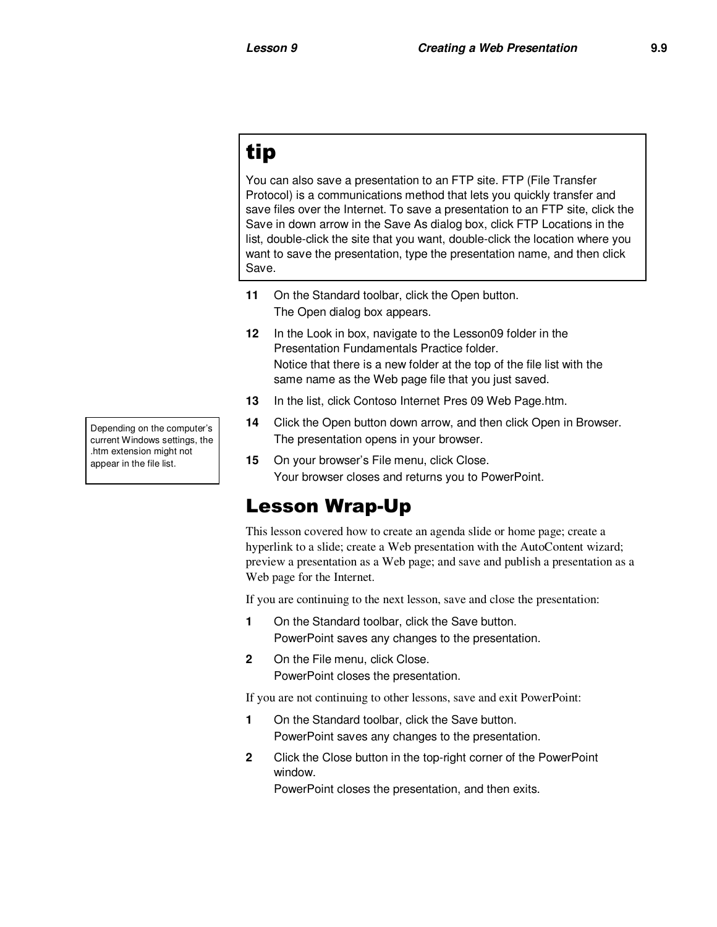## tip

You can also save a presentation to an FTP site. FTP (File Transfer Protocol) is a communications method that lets you quickly transfer and save files over the Internet. To save a presentation to an FTP site, click the Save in down arrow in the Save As dialog box, click FTP Locations in the list, double-click the site that you want, double-click the location where you want to save the presentation, type the presentation name, and then click Save.

- **11** On the Standard toolbar, click the Open button. The Open dialog box appears.
- **12** In the Look in box, navigate to the Lesson09 folder in the Presentation Fundamentals Practice folder. Notice that there is a new folder at the top of the file list with the same name as the Web page file that you just saved.
- **13** In the list, click Contoso Internet Pres 09 Web Page.htm.
- **14** Click the Open button down arrow, and then click Open in Browser. The presentation opens in your browser.
- **15** On your browser's File menu, click Close. Your browser closes and returns you to PowerPoint.

### Lesson Wrap-Up

This lesson covered how to create an agenda slide or home page; create a hyperlink to a slide; create a Web presentation with the AutoContent wizard; preview a presentation as a Web page; and save and publish a presentation as a Web page for the Internet.

If you are continuing to the next lesson, save and close the presentation:

- **1** On the Standard toolbar, click the Save button. PowerPoint saves any changes to the presentation.
- 2 On the File menu, click Close. PowerPoint closes the presentation.

If you are not continuing to other lessons, save and exit PowerPoint:

- **1** On the Standard toolbar, click the Save button. PowerPoint saves any changes to the presentation.
- **2** Click the Close button in the top-right corner of the PowerPoint window.

PowerPoint closes the presentation, and then exits.

Depending on the computer's current Windows settings, the .htm extension might not appear in the file list.